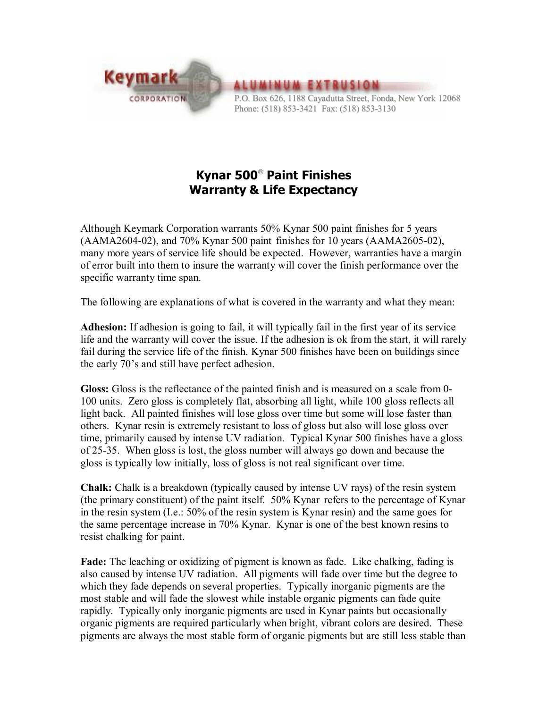

## **Kynar 500** ® **Paint Finishes Warranty & Life Expectancy**

Although Keymark Corporation warrants 50% Kynar 500 paint finishes for 5 years  $(AAMA2604-02)$ , and 70% Kynar 500 paint finishes for 10 years  $(AAMA2605-02)$ , many more years of service life should be expected. However, warranties have a margin of error built into them to insure the warranty will cover the finish performance over the specific warranty time span.

The following are explanations of what is covered in the warranty and what they mean:

**Adhesion:** If adhesion is going to fail, it will typically fail in the first year of its service life and the warranty will cover the issue. If the adhesion is ok from the start, it will rarely fail during the service life of the finish. Kynar 500 finishes have been on buildings since the early 70's and still have perfect adhesion.

**Gloss:** Gloss is the reflectance of the painted finish and is measured on a scale from 0 100 units. Zero gloss is completely flat, absorbing all light, while 100 gloss reflects all light back. All painted finishes will lose gloss over time but some will lose faster than others. Kynar resin is extremely resistant to loss of gloss but also will lose gloss over time, primarily caused by intense UV radiation. Typical Kynar 500 finishes have a gloss of 2535. When gloss is lost, the gloss number will always go down and because the gloss is typically low initially, loss of gloss is not real significant over time.

**Chalk:** Chalk is a breakdown (typically caused by intense UV rays) of the resin system (the primary constituent) of the paint itself. 50% Kynar refers to the percentage of Kynar in the resin system (I.e.: 50% of the resin system is Kynar resin) and the same goes for the same percentage increase in 70% Kynar. Kynar is one of the best known resins to resist chalking for paint.

**Fade:** The leaching or oxidizing of pigment is known as fade. Like chalking, fading is also caused by intense UV radiation. All pigments will fade over time but the degree to which they fade depends on several properties. Typically inorganic pigments are the most stable and will fade the slowest while instable organic pigments can fade quite rapidly. Typically only inorganic pigments are used in Kynar paints but occasionally organic pigments are required particularly when bright, vibrant colors are desired. These pigments are always the most stable form of organic pigments but are still less stable than